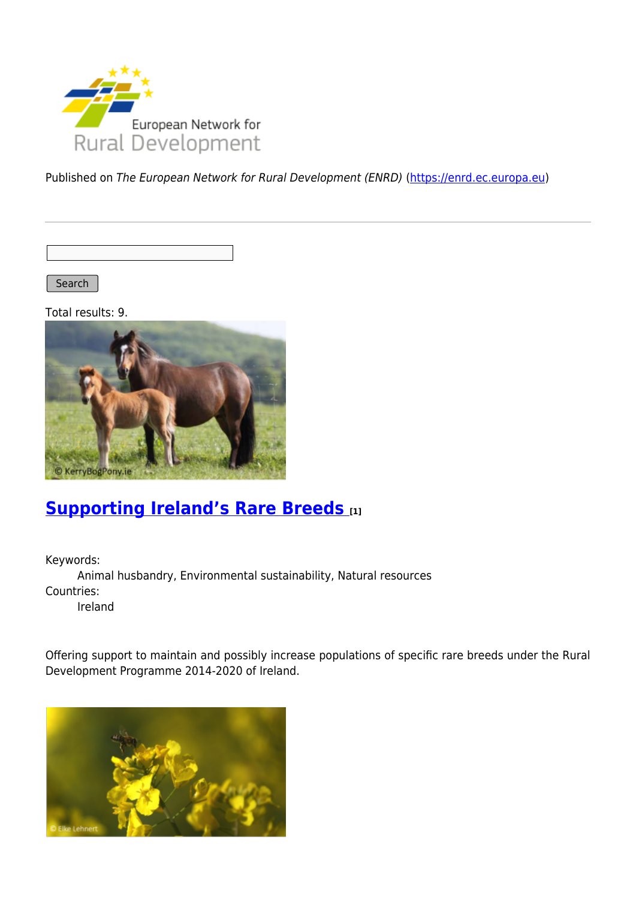

Published on The European Network for Rural Development (ENRD) [\(https://enrd.ec.europa.eu](https://enrd.ec.europa.eu))

Search |

Total results: 9.



# **[Supporting Ireland's Rare Breeds](https://enrd.ec.europa.eu/projects-practice/supporting-irelands-rare-breeds_en) [1]**

Keywords: Animal husbandry, Environmental sustainability, Natural resources Countries: Ireland

Offering support to maintain and possibly increase populations of specific rare breeds under the Rural Development Programme 2014-2020 of Ireland.

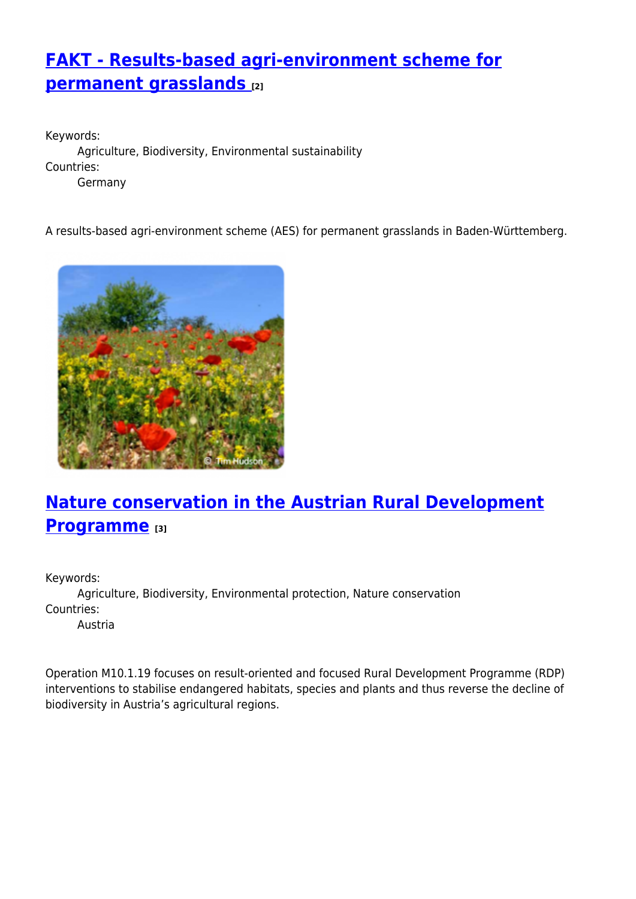# **[FAKT - Results-based agri-environment scheme for](https://enrd.ec.europa.eu/projects-practice/fakt-results-based-agri-environment-scheme-permanent-grasslands_en) [permanent grasslands](https://enrd.ec.europa.eu/projects-practice/fakt-results-based-agri-environment-scheme-permanent-grasslands_en) [2]**

Keywords: Agriculture, Biodiversity, Environmental sustainability Countries: Germany

A results-based agri-environment scheme (AES) for permanent grasslands in Baden-Württemberg.



# **[Nature conservation in the Austrian Rural Development](https://enrd.ec.europa.eu/projects-practice/nature-conservation-austrian-rural-development-programme_en) [Programme](https://enrd.ec.europa.eu/projects-practice/nature-conservation-austrian-rural-development-programme_en) [3]**

Keywords: Agriculture, Biodiversity, Environmental protection, Nature conservation Countries:

Austria

Operation M10.1.19 focuses on result-oriented and focused Rural Development Programme (RDP) interventions to stabilise endangered habitats, species and plants and thus reverse the decline of biodiversity in Austria's agricultural regions.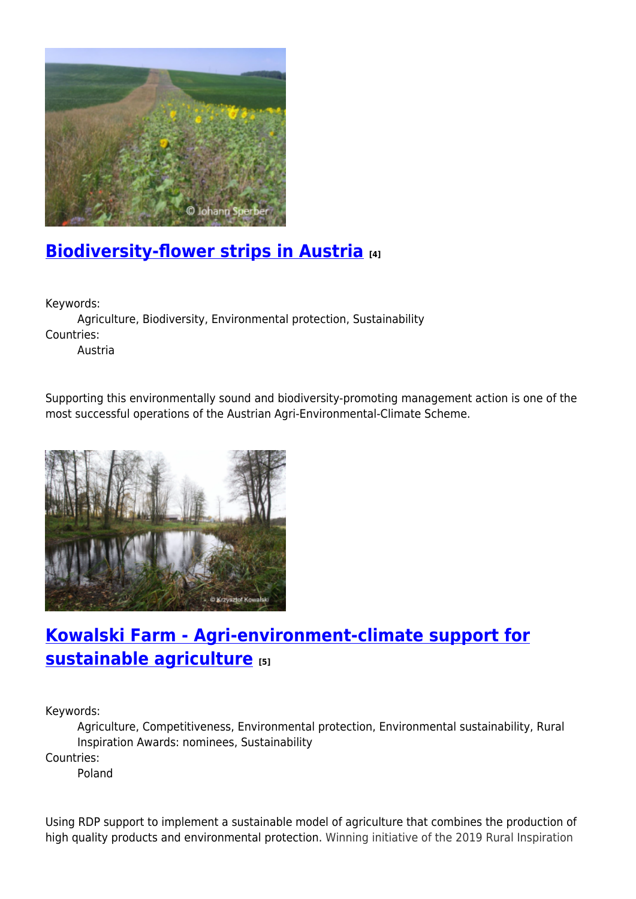

## **[Biodiversity-flower strips in Austria](https://enrd.ec.europa.eu/projects-practice/biodiversity-flower-strips-austria_en) [4]**

Keywords:

Agriculture, Biodiversity, Environmental protection, Sustainability Countries:

Austria

Supporting this environmentally sound and biodiversity-promoting management action is one of the most successful operations of the Austrian Agri-Environmental-Climate Scheme.



# **[Kowalski Farm - Agri-environment-climate support for](https://enrd.ec.europa.eu/projects-practice/kowalski-farm-agri-environment-climate-support-sustainable-agriculture_en) [sustainable agriculture](https://enrd.ec.europa.eu/projects-practice/kowalski-farm-agri-environment-climate-support-sustainable-agriculture_en) [5]**

Keywords:

Agriculture, Competitiveness, Environmental protection, Environmental sustainability, Rural Inspiration Awards: nominees, Sustainability

Countries:

Poland

Using RDP support to implement a sustainable model of agriculture that combines the production of high quality products and environmental protection. Winning initiative of the 2019 Rural Inspiration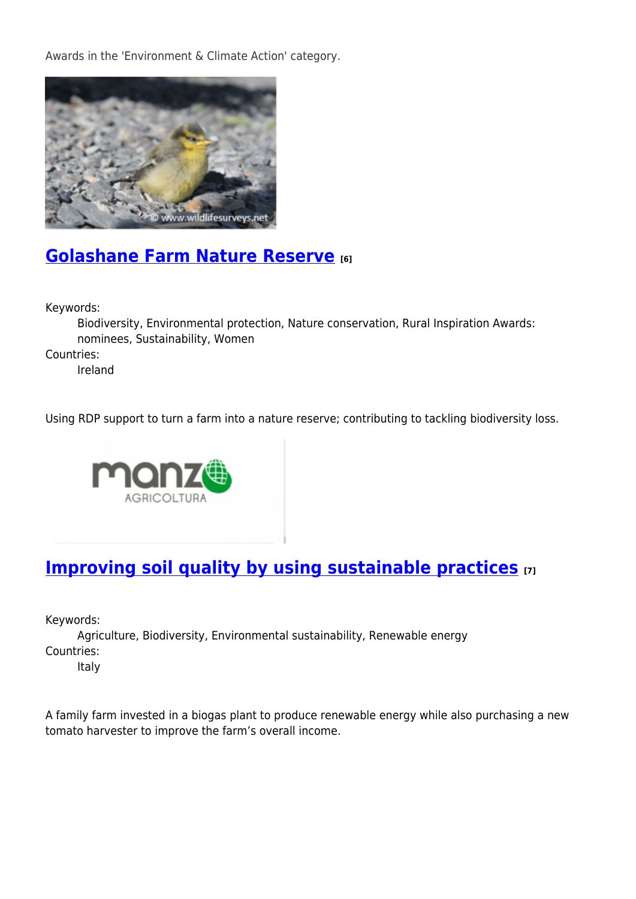Awards in the 'Environment & Climate Action' category.



## **[Golashane Farm Nature Reserve](https://enrd.ec.europa.eu/projects-practice/golashane-farm-nature-reserve_en) [6]**

Keywords:

Biodiversity, Environmental protection, Nature conservation, Rural Inspiration Awards: nominees, Sustainability, Women Countries:

Ireland

Using RDP support to turn a farm into a nature reserve; contributing to tackling biodiversity loss.



### **[Improving soil quality by using sustainable practices](https://enrd.ec.europa.eu/projects-practice/improving-soil-quality-using-sustainable-practices_en) [7]**

Keywords:

Agriculture, Biodiversity, Environmental sustainability, Renewable energy Countries:

Italy

A family farm invested in a biogas plant to produce renewable energy while also purchasing a new tomato harvester to improve the farm's overall income.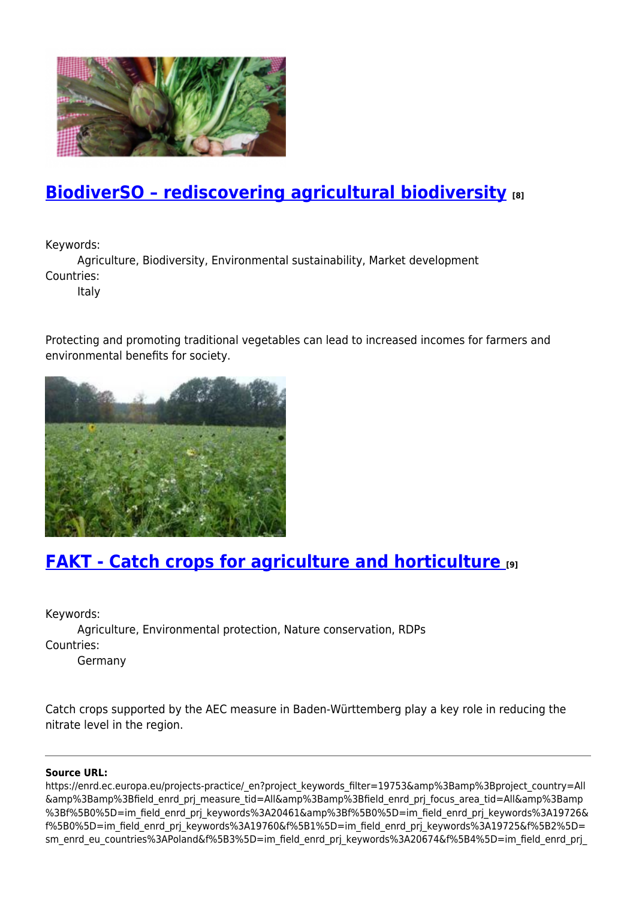

## **[BiodiverSO – rediscovering agricultural biodiversity](https://enrd.ec.europa.eu/projects-practice/biodiverso-rediscovering-agricultural-biodiversity_en) [8]**

Keywords:

Agriculture, Biodiversity, Environmental sustainability, Market development Countries:

Italy

Protecting and promoting traditional vegetables can lead to increased incomes for farmers and environmental benefits for society.



# **[FAKT - Catch crops for agriculture and horticulture](https://enrd.ec.europa.eu/projects-practice/fakt-catch-crops-agriculture-and-horticulture_en) [9]**

Keywords:

Agriculture, Environmental protection, Nature conservation, RDPs Countries:

Germany

Catch crops supported by the AEC measure in Baden-Württemberg play a key role in reducing the nitrate level in the region.

#### **Source URL:**

https://enrd.ec.europa.eu/projects-practice/\_en?project\_keywords\_filter=19753&amp%3Bamp%3Bproject\_country=All &amp%3Bamp%3Bfield\_enrd\_prj\_measure\_tid=All&amp%3Bamp%3Bfield\_enrd\_prj\_focus\_area\_tid=All&amp%3Bamp %3Bf%5B0%5D=im\_field\_enrd\_prj\_keywords%3A20461&amp%3Bf%5B0%5D=im\_field\_enrd\_prj\_keywords%3A19726& f%5B0%5D=im\_field\_enrd\_prj\_keywords%3A19760&f%5B1%5D=im\_field\_enrd\_prj\_keywords%3A19725&f%5B2%5D= sm\_enrd\_eu\_countries%3APoland&f%5B3%5D=im\_field\_enrd\_prj\_keywords%3A20674&f%5B4%5D=im\_field\_enrd\_prj